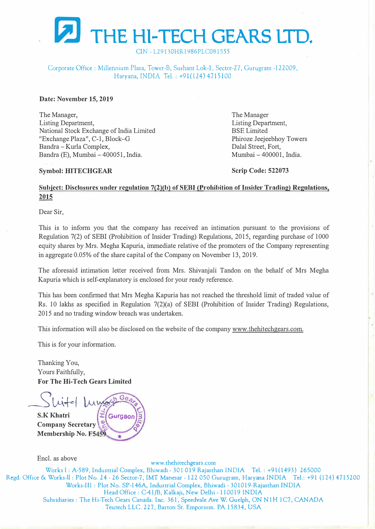

CIN -L29130HR1986PLC081555

## Corporate Office: Millennium Plaza, Tower-B, Sushant Lok-1, Sector-27, Gurugram -122009, Haryana, INDIA Tel.: +91(124) 4715100

#### **Date: November 15, 2019**

The Manager, Listing Department, National Stock Exchange of India Limited "Exchange Plaza", C-1, Block-G Bandra - Kurla Complex, Bandra (E), Mumbai - 400051, India.

The Manager Listing Department, BSE Limited Phiroze Jeejeebhoy Towers Dalal Street, Fort, Mumbai - 400001, India.

#### **Symbol: HITECHGEAR**

**Scrip Code: 522073** 

## Subject: Disclosures under regulation 7(2)(b) of SEBI (Prohibition of Insider Trading) Regulations, **2015**

Dear Sir,

This is to inform you that the company has received an intimation pursuant to the provisions of Regulation 7(2) of SEBI (Prohibition of Insider Trading) Regulations, 2015, regarding purchase of 1000 equity shares by Mrs. Megha Kapuria, immediate relative of the promoters of the Company representing in aggregate 0.05% of the share capital of the Company on November 13, 2019.

The aforesaid intimation letter received from Mrs. Shivanjali Tandon on the behalf of Mrs Megha Kapuria which is self-explanatory is enclosed for your ready reference.

This has been confirmed that Mrs Megha Kapuria has not reached the threshold limit of traded value of Rs. 10 lakhs as specified in Regulation 7(2)(a) of SEBI (Prohibition of Insider Trading) Regulations, 2015 and no trading window breach was undertaken.

This information will also be disclosed on the website of the company www.thehitechgears.com.

This is for your information.

Thanking You, Yours Faithfully, **For The Hi-Tech Gears Limited** 

- Winter 2007 **S.K Khatri Company Secretary Membership No. FS**

Encl. as above www.thehitechgears. com Works l: A-589, Industrial Complex, Bhiwadi -301 019 Rajasthan INDIA Tel.: +91(1493) 265000 Rcgd. Office & Works-11: Plot No. 24 -26 Sector-7, IMT Manesar -122 050 Gurugram, Haryana INDIA Tel.: +91 (124) 4715200 Works-III: Plot No. SP-146A, Industrial Complex, Bhiwadi - 301019-Rajasthan INDIA Head Office: C-41/B, Kalkaji, New Delhi - 110019 INDIA Subsidiaries : The Hi-Tech Gears Canada. Inc. 361, Speedvale Ave W. Guelph, ON N lH 1C7, CANADA Teutech LLC. 227, Barton St. Emporium. PA 15834, USA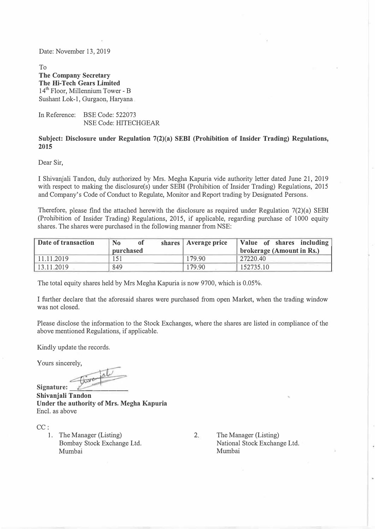Date: November 13, 2019

To **The Company Secretary The Hi-Tech Gears Limited**  14<sup>th</sup> Floor, Millennium Tower - B Sushant Lok-1, Gurgaon, Haryana

In Reference: BSE Code: 522073 NSE Code: HITECHGEAR

#### **Subject: Disclosure under Regulation 7(2)(a) SEBI (Prohibition of Insider Trading) Regulations, 2015**

Dear Sir,

I Shivanjali Tandon, duly authorized by Mrs. Megha Kapuria vide authority letter dated June 21, 2019 with respect to making the disclosure(s) under SEBI (Prohibition of Insider Trading) Regulations, 2015 and Company's Code of Conduct to Regulate, Monitor and Report trading by Designated Persons.

Therefore, please find the attached herewith the disclosure as required under Regulation 7(2)(a) SEBI (Prohibition of Insider Trading) Regulations, 2015, if applicable, regarding purchase of 1000 equity shares. The shares were purchased in the following manner from NSE:

| Date of transaction | N <sub>0</sub><br>0t<br>purchased | shares   Average price | Value of shares including<br>brokerage (Amount in Rs.) |
|---------------------|-----------------------------------|------------------------|--------------------------------------------------------|
| 11.11.2019          | 151                               | 179.90                 | 27220.40                                               |
| 13.11.2019          | 849                               | 179.90                 | 152735.10                                              |

The total equity shares held by Mrs Megha Kapuria is now 9700, which is 0.05%.

I further declare that the aforesaid shares were purchased from open Market, when the trading window was not closed.

Please disclose the information to the Stock Exchanges, where the shares are listed in compliance of the above mentioned Regulations, if applicable.

Kindly update the records.

Yours sincerely,

Signature: **Shivanjali Tandon Under the authority of Mrs. Megha Kapuria**  Encl. as above

CC:

1. The Manager (Listing) Bombay Stock Exchange Ltd. Mumbai

2. The Manager (Listing) National Stock Exchange Ltd. Mumbai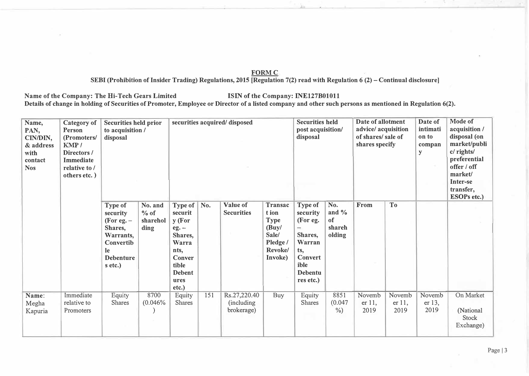## **FORMC**

**SEBI (Prohibition of Insider Trading) Regulations, 2015 [Regulation 7(2) read with Regulation 6 (2) -Continual disclosure]** 

Name of the Company: The Hi-Tech Gears Limited **ISIN** of the Company: INE127B01011 Details of change in holding of Securities of Promoter, Employee or Director of a listed company and other such persons as mentioned in Regulation 6(2).

| Name,<br>PAN,<br>CIN/DIN,<br>& address<br>with<br>contact<br><b>Nos</b> | <b>Category of</b><br>Person<br>(Promoters/<br>KMP/<br>Directors/<br><b>Immediate</b><br>relative to /<br>others etc.) | <b>Securities held prior</b><br>to acquisition /<br>disposal                                                         | securities acquired/disposed          |                                                                                                                                        |     |                                           | <b>Securities held</b><br>post acquisition/<br>disposal                             |                                                                                                                                    | Date of allotment<br>advice/ acquisition<br>of shares/sale of<br>shares specify |                             | Date of<br>intimati<br>on to<br>compan<br>${\bf y}$ | Mode of<br>acquisition /<br>disposal (on<br>market/publi<br>c/ rights/<br>preferential<br>offer / off<br>market/<br><b>Inter-se</b><br>transfer,<br><b>ESOPs etc.)</b> |                                              |
|-------------------------------------------------------------------------|------------------------------------------------------------------------------------------------------------------------|----------------------------------------------------------------------------------------------------------------------|---------------------------------------|----------------------------------------------------------------------------------------------------------------------------------------|-----|-------------------------------------------|-------------------------------------------------------------------------------------|------------------------------------------------------------------------------------------------------------------------------------|---------------------------------------------------------------------------------|-----------------------------|-----------------------------------------------------|------------------------------------------------------------------------------------------------------------------------------------------------------------------------|----------------------------------------------|
|                                                                         |                                                                                                                        | Type of<br>security<br>(For eg. $-$<br>Shares,<br>Warrants,<br>Convertib<br><b>le</b><br><b>Debenture</b><br>s etc.) | No. and<br>$%$ of<br>sharehol<br>ding | <b>Type of</b><br>securit<br>y (For<br>$eg. -$<br>Shares,<br>Warra<br>nts,<br><b>Conver</b><br>tible<br><b>Debent</b><br>ures<br>etc.) | No. | Value of<br><b>Securities</b>             | Transac<br>t ion<br><b>Type</b><br>(Buy/<br>Sale/<br>Pledge /<br>Revoke/<br>Invoke) | Type of<br>security<br>(For eg.<br>$\overline{\phantom{0}}$<br>Shares,<br>Warran<br>ts,<br>Convert<br>ible<br>Debentu<br>res etc.) | No.<br>and $\%$<br>of<br>shareh<br>olding                                       | From                        | T <sub>o</sub>                                      |                                                                                                                                                                        |                                              |
| Name:<br>Megha<br>Kapuria                                               | Immediate<br>relative to<br>Promoters                                                                                  | Equity<br><b>Shares</b>                                                                                              | 8700<br>(0.046%                       | Equity<br><b>Shares</b>                                                                                                                | 151 | Rs.27,220.40<br>(including)<br>brokerage) | <b>Buy</b>                                                                          | Equity<br><b>Shares</b>                                                                                                            | 8851<br>(0.047)<br>$\%$ )                                                       | Novemb<br>$er 11$ ,<br>2019 | Novemb<br>$er 11$ ,<br>2019                         | Novemb<br>er 13,<br>2019                                                                                                                                               | On Market<br>(National<br>Stock<br>Exchange) |